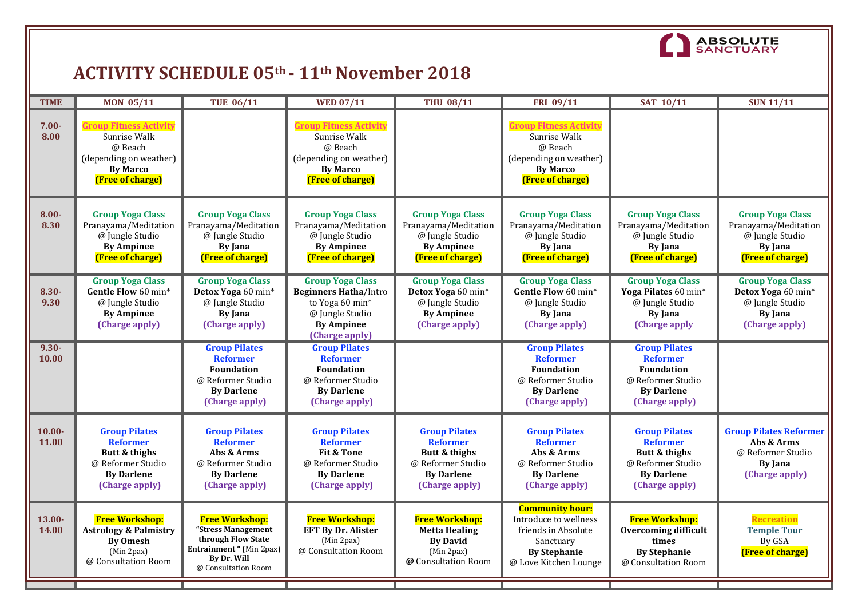

# **ACTIVITY SCHEDULE 05th - 11th November 2018**

| <b>TIME</b>        | <b>MON 05/11</b>                                                                                                                 | <b>TUE 06/11</b>                                                                                                                           | <b>WED 07/11</b>                                                                                                                     | <b>THU 08/11</b>                                                                                                     | <b>FRI 09/11</b>                                                                                                                    | SAT 10/11                                                                                                                | <b>SUN 11/11</b>                                                                                         |
|--------------------|----------------------------------------------------------------------------------------------------------------------------------|--------------------------------------------------------------------------------------------------------------------------------------------|--------------------------------------------------------------------------------------------------------------------------------------|----------------------------------------------------------------------------------------------------------------------|-------------------------------------------------------------------------------------------------------------------------------------|--------------------------------------------------------------------------------------------------------------------------|----------------------------------------------------------------------------------------------------------|
| $7.00 -$<br>8.00   | <b>Group Fitness Activity</b><br>Sunrise Walk<br>@ Beach<br>(depending on weather)<br><b>By Marco</b><br><b>(Free of charge)</b> |                                                                                                                                            | <b>Group Fitness Activity</b><br>Sunrise Walk<br>@ Beach<br>(depending on weather)<br><b>By Marco</b><br><b>(Free of charge)</b>     |                                                                                                                      | <b>Group Fitness Activity</b><br>Sunrise Walk<br>@ Beach<br>(depending on weather)<br><b>By Marco</b><br>(Free of charge)           |                                                                                                                          |                                                                                                          |
| $8.00 -$<br>8.30   | <b>Group Yoga Class</b><br>Pranayama/Meditation<br>@ Jungle Studio<br><b>By Ampinee</b><br><b>(Free of charge)</b>               | <b>Group Yoga Class</b><br>Pranayama/Meditation<br>@ Jungle Studio<br>By Jana<br><b>(Free of charge)</b>                                   | <b>Group Yoga Class</b><br>Pranayama/Meditation<br>@ Jungle Studio<br><b>By Ampinee</b><br><b>(Free of charge)</b>                   | <b>Group Yoga Class</b><br>Pranayama/Meditation<br>@ Jungle Studio<br><b>By Ampinee</b><br><b>(Free of charge)</b>   | <b>Group Yoga Class</b><br>Pranayama/Meditation<br>@ Jungle Studio<br><b>By Jana</b><br>(Free of charge)                            | <b>Group Yoga Class</b><br>Pranayama/Meditation<br>@ Jungle Studio<br>By Jana<br>(Free of charge)                        | <b>Group Yoga Class</b><br>Pranayama/Meditation<br>@ Jungle Studio<br>By Jana<br><b>(Free of charge)</b> |
| $8.30 -$<br>9.30   | <b>Group Yoga Class</b><br>Gentle Flow 60 min*<br>@ Jungle Studio<br><b>By Ampinee</b><br>(Charge apply)                         | <b>Group Yoga Class</b><br>Detox Yoga 60 min*<br>@ Jungle Studio<br>By Jana<br>(Charge apply)                                              | <b>Group Yoga Class</b><br><b>Beginners Hatha/Intro</b><br>to Yoga 60 min*<br>@ Jungle Studio<br><b>By Ampinee</b><br>(Charge apply) | <b>Group Yoga Class</b><br>Detox Yoga 60 min*<br>@ Jungle Studio<br><b>By Ampinee</b><br>(Charge apply)              | <b>Group Yoga Class</b><br>Gentle Flow 60 min*<br>@ Jungle Studio<br><b>By Jana</b><br>(Charge apply)                               | <b>Group Yoga Class</b><br>Yoga Pilates 60 min*<br>@ Jungle Studio<br><b>By Jana</b><br>(Charge apply                    | <b>Group Yoga Class</b><br>Detox Yoga 60 min*<br>@ Jungle Studio<br><b>By Jana</b><br>(Charge apply)     |
| $9.30 -$<br>10.00  |                                                                                                                                  | <b>Group Pilates</b><br><b>Reformer</b><br><b>Foundation</b><br>@ Reformer Studio<br><b>By Darlene</b><br>(Charge apply)                   | <b>Group Pilates</b><br><b>Reformer</b><br><b>Foundation</b><br>@ Reformer Studio<br><b>By Darlene</b><br>(Charge apply)             |                                                                                                                      | <b>Group Pilates</b><br><b>Reformer</b><br><b>Foundation</b><br>@ Reformer Studio<br><b>By Darlene</b><br>(Charge apply)            | <b>Group Pilates</b><br><b>Reformer</b><br><b>Foundation</b><br>@ Reformer Studio<br><b>By Darlene</b><br>(Charge apply) |                                                                                                          |
| $10.00 -$<br>11.00 | <b>Group Pilates</b><br><b>Reformer</b><br>Butt & thighs<br>@ Reformer Studio<br><b>By Darlene</b><br>(Charge apply)             | <b>Group Pilates</b><br><b>Reformer</b><br>Abs & Arms<br>@ Reformer Studio<br><b>By Darlene</b><br>(Charge apply)                          | <b>Group Pilates</b><br><b>Reformer</b><br><b>Fit &amp; Tone</b><br>@ Reformer Studio<br><b>By Darlene</b><br>(Charge apply)         | <b>Group Pilates</b><br><b>Reformer</b><br>Butt & thighs<br>@ Reformer Studio<br><b>By Darlene</b><br>(Charge apply) | <b>Group Pilates</b><br><b>Reformer</b><br>Abs & Arms<br>@ Reformer Studio<br><b>By Darlene</b><br>(Charge apply)                   | <b>Group Pilates</b><br><b>Reformer</b><br>Butt & thighs<br>@ Reformer Studio<br><b>By Darlene</b><br>(Charge apply)     | <b>Group Pilates Reformer</b><br>Abs & Arms<br>@ Reformer Studio<br><b>By Jana</b><br>(Charge apply)     |
| $13.00 -$<br>14.00 | <b>Free Workshop:</b><br><b>Astrology &amp; Palmistry</b><br><b>By Omesh</b><br>(Min 2pax)<br>@ Consultation Room                | <b>Free Workshop:</b><br>"Stress Management<br>through Flow State<br><b>Entrainment</b> " (Min 2pax)<br>By Dr. Will<br>@ Consultation Room | <b>Free Workshop:</b><br><b>EFT By Dr. Alister</b><br>(Min 2pax)<br>@ Consultation Room                                              | <b>Free Workshop:</b><br><b>Metta Healing</b><br><b>By David</b><br>(Min 2pax)<br>@ Consultation Room                | <b>Community hour:</b><br>Introduce to wellness<br>friends in Absolute<br>Sanctuary<br><b>By Stephanie</b><br>@ Love Kitchen Lounge | <b>Free Workshop:</b><br><b>Overcoming difficult</b><br>times<br><b>By Stephanie</b><br>@ Consultation Room              | Recreation<br><b>Temple Tour</b><br>By GSA<br>(Free of charge)                                           |